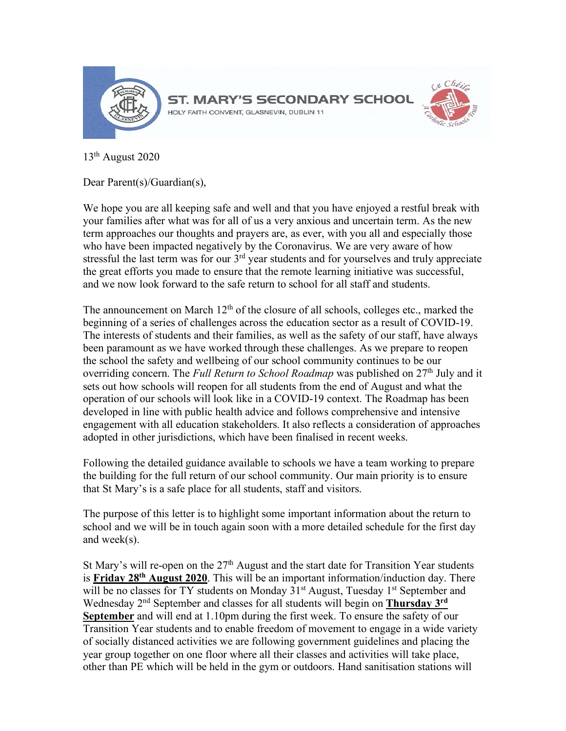

13th August 2020

Dear Parent(s)/Guardian(s),

We hope you are all keeping safe and well and that you have enjoyed a restful break with your families after what was for all of us a very anxious and uncertain term. As the new term approaches our thoughts and prayers are, as ever, with you all and especially those who have been impacted negatively by the Coronavirus. We are very aware of how stressful the last term was for our  $3<sup>rd</sup>$  year students and for yourselves and truly appreciate the great efforts you made to ensure that the remote learning initiative was successful, and we now look forward to the safe return to school for all staff and students.

The announcement on March  $12<sup>th</sup>$  of the closure of all schools, colleges etc., marked the beginning of a series of challenges across the education sector as a result of COVID-19. The interests of students and their families, as well as the safety of our staff, have always been paramount as we have worked through these challenges. As we prepare to reopen the school the safety and wellbeing of our school community continues to be our overriding concern. The *Full Return to School Roadmap* was published on 27<sup>th</sup> July and it sets out how schools will reopen for all students from the end of August and what the operation of our schools will look like in a COVID-19 context. The Roadmap has been developed in line with public health advice and follows comprehensive and intensive engagement with all education stakeholders. It also reflects a consideration of approaches adopted in other jurisdictions, which have been finalised in recent weeks.

Following the detailed guidance available to schools we have a team working to prepare the building for the full return of our school community. Our main priority is to ensure that St Mary's is a safe place for all students, staff and visitors.

The purpose of this letter is to highlight some important information about the return to school and we will be in touch again soon with a more detailed schedule for the first day and week(s).

St Mary's will re-open on the  $27<sup>th</sup>$  August and the start date for Transition Year students is **Friday 28th August 2020**. This will be an important information/induction day. There will be no classes for TY students on Monday 31<sup>st</sup> August, Tuesday 1<sup>st</sup> September and Wednesday 2nd September and classes for all students will begin on **Thursday 3rd September** and will end at 1.10pm during the first week. To ensure the safety of our Transition Year students and to enable freedom of movement to engage in a wide variety of socially distanced activities we are following government guidelines and placing the year group together on one floor where all their classes and activities will take place, other than PE which will be held in the gym or outdoors. Hand sanitisation stations will